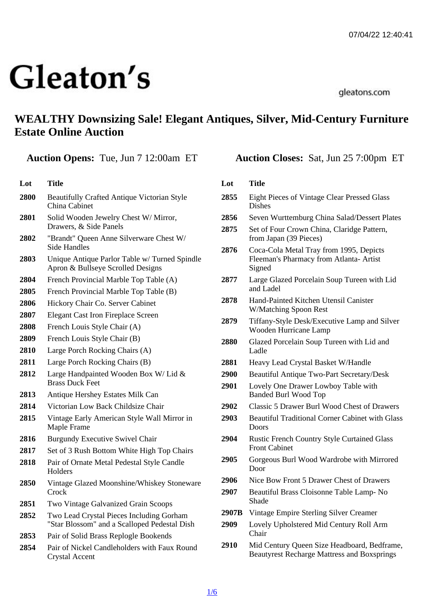# WEALTHY Downsizing Sale! Elegant Antiques, Silver, Mid-Century Furniture Estate Online Auction

|  | Auction Opens: Tue, Jun 7 12:00am ET |
|--|--------------------------------------|
|--|--------------------------------------|

## Lot Title 2800 Beautifully Crafted Antique Victorian Style China Cabinet 2801 Solid Wooden Jewelry Chest W/ Mirror, Drawers, & Side Panels 2802 "Brandt" Queen Anne Silverware Chest W/ Side Handles 2803 Unique Antique Parlor Table w/ Turned Spindle Apron & Bullseye Scrolled Designs 2804 French Provincial Marble Top Table (A) 2805 French Provincial Marble Top Table (B) 2806 Hickory Chair Co. Server Cabinet 2807 Elegant Cast Iron Fireplace Screen 2808 French Louis Style Chair (A) 2809 French Louis Style Chair (B) 2810 Large Porch Rocking Chairs (A) 2811 Large Porch Rocking Chairs (B) 2812 Large Handpainted Wooden Box W/ Lid & Brass Duck Feet 2813 Antique Hershey Estates Milk Can 2814 Victorian Low Back Childsize Chair 2815 Vintage Early American Style Wall Mirror in Maple Frame 2816 Burgundy Executive Swivel Chair 2817 Set of 3 Rush Bottom White High Top Chairs 2818 Pair of Ornate Metal Pedestal Style Candle **Holders** 2850 Vintage Glazed Moonshine/Whiskey Stoneware **Crock** 2851 Two Vintage Galvanized Grain Scoops 2852 Two Lead Crystal Pieces Including Gorham "Star Blossom" and a Scalloped Pedestal Dish 2853 Pair of Solid Brass Replogle Bookends 2854 Pair of Nickel Candleholders with Faux Round Crystal Accent

Auction Closes: Sat, Jun 25 7:00pm ET

## Lot Title 2855 Eight Pieces of Vintage Clear Pressed Glass Dishes 2856 Seven Wurttemburg China Salad/Dessert Plates 2875 Set of Four Crown China, Claridge Pattern, from Japan (39 Pieces) 2876 Coca-Cola Metal Tray from 1995, Depicts Fleeman's Pharmacy from Atlanta- Artist **Signed** 2877 Large Glazed Porcelain Soup Tureen with Lid and Ladel 2878 Hand-Painted Kitchen Utensil Canister W/Matching Spoon Rest 2879 Tiffany-Style Desk/Executive Lamp and Silver Wooden Hurricane Lamp 2880 Glazed Porcelain Soup Tureen with Lid and Ladle 2881 Heavy Lead Crystal Basket W/Handle 2900 Beautiful Antique Two-Part Secretary/Desk 2901 Lovely One Drawer Lowboy Table with Banded Burl Wood Top 2902 Classic 5 Drawer Burl Wood Chest of Drawers 2903 Beautiful Traditional Corner Cabinet with Glass Doors 2904 Rustic French Country Style Curtained Glass Front Cabinet 2905 Gorgeous Burl Wood Wardrobe with Mirrored Door 2906 Nice Bow Front 5 Drawer Chest of Drawers 2907 Beautiful Brass Cloisonne Table Lamp- No Shade 2907B Vintage Empire Sterling Silver Creamer 2909 Lovely Upholstered Mid Century Roll Arm **Chair**

2910 Mid Century Queen Size Headboard, Bedframe, Beautyrest Recharge Mattress and Boxsprings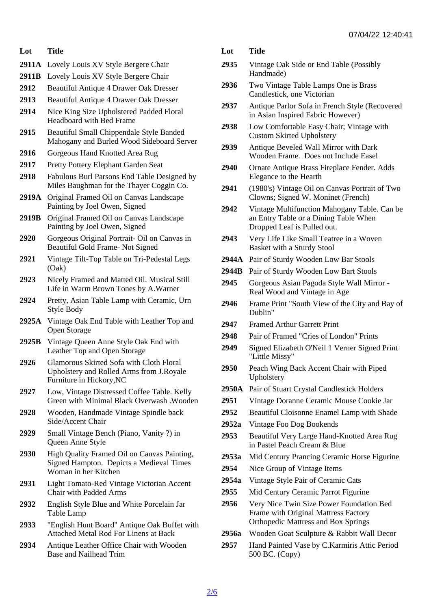- Lot Title
- 2911A Lovely Louis XV Style Bergere Chair
- 2911B Lovely Louis XV Style Bergere Chair
- 2912 Beautiful Antique 4 Drawer Oak Dresser
- 2913 Beautiful Antique 4 Drawer Oak Dresser
- 2914 Nice King Size Upholstered Padded Floral Headboard with Bed Frame
- 2915 Beautiful Small Chippendale Style Banded Mahogany and Burled Wood Sideboard Server
- 2916 Gorgeous Hand Knotted Area Rug
- 2917 Pretty Pottery Elephant Garden Seat
- 2918 Fabulous Burl Parsons End Table Designed by Miles Baughman for the Thayer Coggin Co.
- 2919A Original Framed Oil on Canvas Landscape Painting by Joel Owen, Signed
- 2919B Original Framed Oil on Canvas Landscape Painting by Joel Owen, Signed
- 2920 Gorgeous Original Portrait- Oil on Canvas in Beautiful Gold Frame- Not Signed
- 2921 Vintage Tilt-Top Table on Tri-Pedestal Legs (Oak)
- 2923 Nicely Framed and Matted Oil. Musical Still Life in Warm Brown Tones by A.Warner
- 2924 Pretty, Asian Table Lamp with Ceramic, Urn Style Body
- 2925A Vintage Oak End Table with Leather Top and Open Storage
- 2925B Vintage Queen Anne Style Oak End with Leather Top and Open Storage
- 2926 Glamorous Skirted Sofa with Cloth Floral Upholstery and Rolled Arms from J.Royale Furniture in Hickory,NC
- 2927 Low, Vintage Distressed Coffee Table. Kelly Green with Minimal Black Overwash .Wooden
- 2928 Wooden, Handmade Vintage Spindle back Side/Accent Chair
- 2929 Small Vintage Bench (Piano, Vanity ?) in Queen Anne Style
- 2930 High Quality Framed Oil on Canvas Painting, Signed Hampton. Depicts a Medieval Times Woman in her Kitchen
- 2931 Light Tomato-Red Vintage Victorian Accent Chair with Padded Arms
- 2932 English Style Blue and White Porcelain Jar Table Lamp
- 2933 "English Hunt Board" Antique Oak Buffet with Attached Metal Rod For Linens at Back
- 2934 Antique Leather Office Chair with Wooden Base and Nailhead Trim
- Lot Title
- 2935 Vintage Oak Side or End Table (Possibly Handmade)
- 2936 Two Vintage Table Lamps One is Brass Candlestick, one Victorian
- 2937 Antique Parlor Sofa in French Style (Recovered in Asian Inspired Fabric However)
- 2938 Low Comfortable Easy Chair; Vintage with Custom Skirted Upholstery
- 2939 Antique Beveled Wall Mirror with Dark Wooden Frame. Does not Include Easel
- 2940 Ornate Antique Brass Fireplace Fender. Adds Elegance to the Hearth
- 2941 (1980's) Vintage Oil on Canvas Portrait of Two Clowns; Signed W. Moninet (French)
- 2942 Vintage Multifunction Mahogany Table. Can be an Entry Table or a Dining Table When Dropped Leaf is Pulled out.
- 2943 Very Life Like Small Teatree in a Woven Basket with a Sturdy Stool
- 2944A Pair of Sturdy Wooden Low Bar Stools
- 2944B Pair of Sturdy Wooden Low Bart Stools
- 2945 Gorgeous Asian Pagoda Style Wall Mirror Real Wood and Vintage in Age
- 2946 Frame Print "South View of the City and Bay of Dublin"
- 2947 Framed Arthur Garrett Print
- 2948 Pair of Framed "Cries of London" Prints
- 2949 Signed Elizabeth O'Neil 1 Verner Signed Print "Little Missy"
- 2950 Peach Wing Back Accent Chair with Piped **Upholstery**
- 2950A Pair of Stuart Crystal Candlestick Holders
- 2951 Vintage Doranne Ceramic Mouse Cookie Jar
- 2952 Beautiful Cloisonne Enamel Lamp with Shade
- 2952a Vintage Foo Dog Bookends
- 2953 Beautiful Very Large Hand-Knotted Area Rug in Pastel Peach Cream & Blue
- 2953a Mid Century Prancing Ceramic Horse Figurine
- 2954 Nice Group of Vintage Items
- 2954a Vintage Style Pair of Ceramic Cats
- 2955 Mid Century Ceramic Parrot Figurine
- 2956 Very Nice Twin Size Power Foundation Bed Frame with Original Mattress Factory Orthopedic Mattress and Box Springs
- 2956a Wooden Goat Sculpture & Rabbit Wall Decor
- 2957 Hand Painted Vase by C.Karmiris Attic Period 500 BC. (Copy)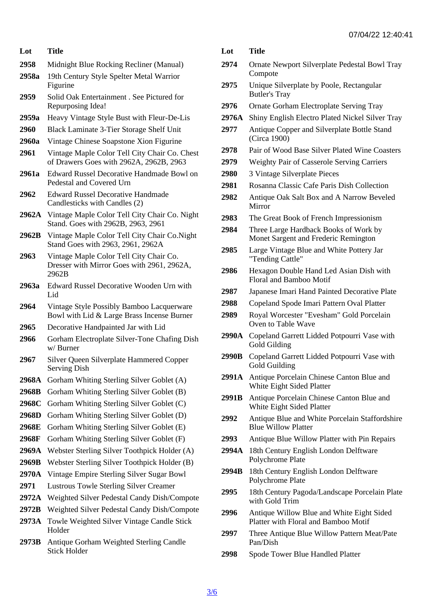- Lot Title 2958 Midnight Blue Rocking Recliner (Manual)
- 2958a 19th Century Style Spelter Metal Warrior **Figurine**
- 2959 Solid Oak Entertainment . See Pictured for Repurposing Idea!
- 2959a Heavy Vintage Style Bust with Fleur-De-Lis
- 2960 Black Laminate 3-Tier Storage Shelf Unit
- 2960a Vintage Chinese Soapstone Xion Figurine
- 2961 Vintage Maple Color Tell City Chair Co. Chest of Drawers Goes with 2962A, 2962B, 2963
- 2961a Edward Russel Decorative Handmade Bowl on Pedestal and Covered Urn
- 2962 Edward Russel Decorative Handmade Candlesticks with Candles (2)
- 2962A Vintage Maple Color Tell City Chair Co. Night Stand. Goes with 2962B, 2963, 2961
- 2962B Vintage Maple Color Tell City Chair Co.Night Stand Goes with 2963, 2961, 2962A
- 2963 Vintage Maple Color Tell City Chair Co. Dresser with Mirror Goes with 2961, 2962A, 2962B
- 2963a Edward Russel Decorative Wooden Urn with Lid
- 2964 Vintage Style Possibly Bamboo Lacquerware Bowl with Lid & Large Brass Incense Burner
- 2965 Decorative Handpainted Jar with Lid
- 2966 Gorham Electroplate Silver-Tone Chafing Dish w/ Burner
- 2967 Silver Queen Silverplate Hammered Copper Serving Dish
- 2968A Gorham Whiting Sterling Silver Goblet (A)
- 2968B Gorham Whiting Sterling Silver Goblet (B)
- 2968C Gorham Whiting Sterling Silver Goblet (C)
- 2968D Gorham Whiting Sterling Silver Goblet (D)
- 2968E Gorham Whiting Sterling Silver Goblet (E)
- 2968F Gorham Whiting Sterling Silver Goblet (F)
- 2969A Webster Sterling Silver Toothpick Holder (A)
- 2969B Webster Sterling Silver Toothpick Holder (B)
- 2970A Vintage Empire Sterling Silver Sugar Bowl
- 2971 Lustrous Towle Sterling Silver Creamer
- 2972A Weighted Silver Pedestal Candy Dish/Compote
- 2972B Weighted Silver Pedestal Candy Dish/Compote
- 2973A Towle Weighted Silver Vintage Candle Stick Holder
- 2973B Antique Gorham Weighted Sterling Candle Stick Holder

Lot Title

- 2974 Ornate Newport Silverplate Pedestal Bowl Tray **Compote**
- 2975 Unique Silverplate by Poole, Rectangular Butler's Tray
- 2976 Ornate Gorham Electroplate Serving Tray
- 2976A Shiny English Electro Plated Nickel Silver Tray
- 2977 Antique Copper and Silverplate Bottle Stand (Circa 1900)
- 2978 Pair of Wood Base Silver Plated Wine Coasters
- 2979 Weighty Pair of Casserole Serving Carriers
- 2980 3 Vintage Silverplate Pieces
- 2981 Rosanna Classic Cafe Paris Dish Collection
- 2982 Antique Oak Salt Box and A Narrow Beveled Mirror
- 2983 The Great Book of French Impressionism
- 2984 Three Large Hardback Books of Work by Monet Sargent and Frederic Remington
- 2985 Large Vintage Blue and White Pottery Jar "Tending Cattle"
- 2986 Hexagon Double Hand Led Asian Dish with Floral and Bamboo Motif
- 2987 Japanese Imari Hand Painted Decorative Plate
- 2988 Copeland Spode Imari Pattern Oval Platter
- 2989 Royal Worcester "Evesham" Gold Porcelain Oven to Table Wave
- 2990A Copeland Garrett Lidded Potpourri Vase with Gold Gilding
- 2990B Copeland Garrett Lidded Potpourri Vase with Gold Guilding
- 2991A Antique Porcelain Chinese Canton Blue and White Eight Sided Platter
- 2991B Antique Porcelain Chinese Canton Blue and White Eight Sided Platter
- 2992 Antique Blue and White Porcelain Staffordshire Blue Willow Platter
- 2993 Antique Blue Willow Platter with Pin Repairs
- 2994A 18th Century English London Delftware Polychrome Plate
- 2994B 18th Century English London Delftware Polychrome Plate
- 2995 18th Century Pagoda/Landscape Porcelain Plate with Gold Trim
- 2996 Antique Willow Blue and White Eight Sided Platter with Floral and Bamboo Motif
- 2997 Three Antique Blue Willow Pattern Meat/Pate Pan/Dish
- 2998 Spode Tower Blue Handled Platter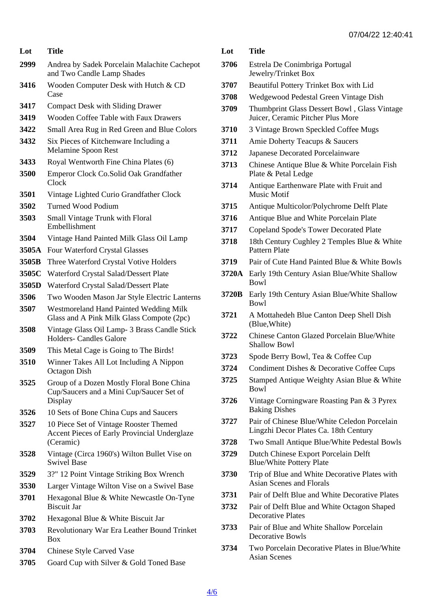| Lot   | Title                                                                                            | Lo       |
|-------|--------------------------------------------------------------------------------------------------|----------|
| 2999  | Andrea by Sadek Porcelain Malachite Cachepot<br>and Two Candle Lamp Shades                       | 37       |
| 3416  | Wooden Computer Desk with Hutch & CD<br>Case                                                     | 37<br>37 |
| 3417  | <b>Compact Desk with Sliding Drawer</b>                                                          | 37       |
| 3419  | <b>Wooden Coffee Table with Faux Drawers</b>                                                     |          |
| 3422  | Small Area Rug in Red Green and Blue Colors                                                      | 37       |
| 3432  | Six Pieces of Kitchenware Including a<br><b>Melamine Spoon Rest</b>                              | 37<br>37 |
| 3433  | Royal Wentworth Fine China Plates (6)                                                            | 37       |
| 3500  | <b>Emperor Clock Co.Solid Oak Grandfather</b><br><b>Clock</b>                                    | 37       |
| 3501  | Vintage Lighted Curio Grandfather Clock                                                          |          |
| 3502  | <b>Turned Wood Podium</b>                                                                        | 37       |
| 3503  | Small Vintage Trunk with Floral<br>Embellishment                                                 | 37       |
| 3504  | Vintage Hand Painted Milk Glass Oil Lamp                                                         | 37       |
| 3505A | <b>Four Waterford Crystal Glasses</b>                                                            | 37       |
| 3505B | Three Waterford Crystal Votive Holders                                                           | 37       |
|       | 3505C Waterford Crystal Salad/Dessert Plate                                                      | 37       |
|       | 3505D Waterford Crystal Salad/Dessert Plate                                                      |          |
| 3506  | Two Wooden Mason Jar Style Electric Lanterns                                                     | 37       |
| 3507  | <b>Westmoreland Hand Painted Wedding Milk</b><br>Glass and A Pink Milk Glass Compote (2pc)       | 37       |
| 3508  | Vintage Glass Oil Lamp- 3 Brass Candle Stick                                                     |          |
|       | <b>Holders- Candles Galore</b>                                                                   | 37       |
| 3509  | This Metal Cage is Going to The Birds!                                                           | 37       |
| 3510  | Winner Takes All Lot Including A Nippon                                                          | 37       |
|       | Octagon Dish                                                                                     | 37       |
| 3525  | Group of a Dozen Mostly Floral Bone China<br>Cup/Saucers and a Mini Cup/Saucer Set of<br>Display | 37       |
| 3526  | 10 Sets of Bone China Cups and Saucers                                                           |          |
| 3527  | 10 Piece Set of Vintage Rooster Themed<br><b>Accent Pieces of Early Provincial Underglaze</b>    | 37       |
|       | (Ceramic)                                                                                        | 37       |
| 3528  | Vintage (Circa 1960's) Wilton Bullet Vise on<br><b>Swivel Base</b>                               | 37       |
| 3529  | 3?" 12 Point Vintage Striking Box Wrench                                                         | 37       |
| 3530  | Larger Vintage Wilton Vise on a Swivel Base                                                      |          |
| 3701  | Hexagonal Blue & White Newcastle On-Tyne<br><b>Biscuit Jar</b>                                   | 37<br>37 |
| 3702  | Hexagonal Blue & White Biscuit Jar                                                               |          |
| 3703  | Revolutionary War Era Leather Bound Trinket<br>Box                                               | 37       |
| 3704  | <b>Chinese Style Carved Vase</b>                                                                 | 37       |
| 3705  | Goard Cup with Silver & Gold Toned Base                                                          |          |
|       |                                                                                                  |          |

| Lot    | <b>Title</b>                                                                          |
|--------|---------------------------------------------------------------------------------------|
| t 3706 | Estrela De Conimbriga Portugal<br>Jewelry/Trinket Box                                 |
| 3707   | <b>Beautiful Pottery Trinket Box with Lid</b>                                         |
| 3708   | Wedgewood Pedestal Green Vintage Dish                                                 |
| 3709   | Thumbprint Glass Dessert Bowl, Glass Vintage<br>Juicer, Ceramic Pitcher Plus More     |
| 3710   | 3 Vintage Brown Speckled Coffee Mugs                                                  |
| 3711   | Amie Doherty Teacups & Saucers                                                        |
| 3712   | Japanese Decorated Porcelainware                                                      |
| 3713   | Chinese Antique Blue & White Porcelain Fish<br>Plate & Petal Ledge                    |
| 3714   | Antique Earthenware Plate with Fruit and<br><b>Music Motif</b>                        |
| 3715   | Antique Multicolor/Polychrome Delft Plate                                             |
| 3716   | Antique Blue and White Porcelain Plate                                                |
| 3717   | <b>Copeland Spode's Tower Decorated Plate</b>                                         |
| 3718   | 18th Century Cughley 2 Temples Blue & White<br><b>Pattern Plate</b>                   |
| 3719   | Pair of Cute Hand Painted Blue & White Bowls                                          |
|        | 3720A Early 19th Century Asian Blue/White Shallow<br>Bowl                             |
|        | 3720B Early 19th Century Asian Blue/White Shallow<br><b>Bowl</b>                      |
| 3721   | A Mottahedeh Blue Canton Deep Shell Dish<br>(Blue, White)                             |
| 3722   | <b>Chinese Canton Glazed Porcelain Blue/White</b><br><b>Shallow Bowl</b>              |
| 3723   | Spode Berry Bowl, Tea & Coffee Cup                                                    |
| 3724   | <b>Condiment Dishes &amp; Decorative Coffee Cups</b>                                  |
| 3725   | Stamped Antique Weighty Asian Blue & White<br>Bowl                                    |
| 3726   | Vintage Corningware Roasting Pan & 3 Pyrex<br><b>Baking Dishes</b>                    |
| 3727   | Pair of Chinese Blue/White Celedon Porcelain<br>Lingzhi Decor Plates Ca. 18th Century |
| 3728   | Two Small Antique Blue/White Pedestal Bowls                                           |
| 3729   | Dutch Chinese Export Porcelain Delft<br><b>Blue/White Pottery Plate</b>               |
| 3730   | Trip of Blue and White Decorative Plates with<br><b>Asian Scenes and Florals</b>      |
| 3731   | Pair of Delft Blue and White Decorative Plates                                        |
| 3732   | Pair of Delft Blue and White Octagon Shaped<br><b>Decorative Plates</b>               |
| 3733   | Pair of Blue and White Shallow Porcelain<br><b>Decorative Bowls</b>                   |

734 Two Porcelain Decorative Plates in Blue/White Asian Scenes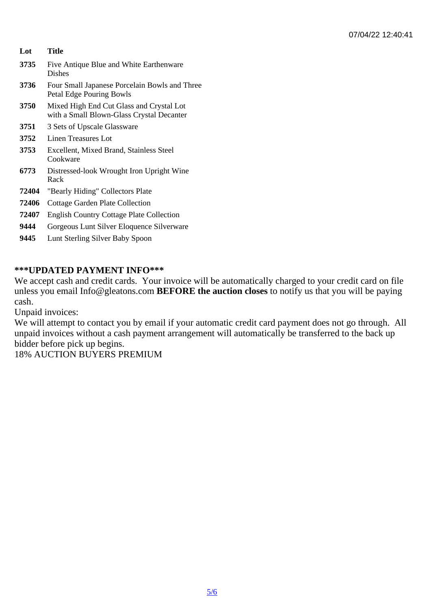- Lot Title
- 3735 Five Antique Blue and White Earthenware **Dishes**
- 3736 Four Small Japanese Porcelain Bowls and Three Petal Edge Pouring Bowls
- 3750 Mixed High End Cut Glass and Crystal Lot with a Small Blown-Glass Crystal Decanter
- 3751 3 Sets of Upscale Glassware
- 3752 Linen Treasures Lot
- 3753 Excellent, Mixed Brand, Stainless Steel **Cookware**
- 6773 Distressed-look Wrought Iron Upright Wine Rack
- 72404 "Bearly Hiding" Collectors Plate
- 72406 Cottage Garden Plate Collection
- 72407 English Country Cottage Plate Collection
- 9444 Gorgeous Lunt Silver Eloquence Silverware
- 9445 Lunt Sterling Silver Baby Spoon

#### \*\*\*UPDATED PAYMENT INFO\*\*\*

We accept cash and credit cards. Your invoice will be automatically charged to your credit card on file unless you email Info@gleatons.com BEFORE the auction closes to notify us that you will be paying cash.

Unpaid invoices:

We will attempt to contact you by email if your automatic credit card payment does not go through. All unpaid invoices without a cash payment arrangement will automatically be transferred to the back up bidder before pick up begins.

18% AUCTION BUYERS PREMIUM